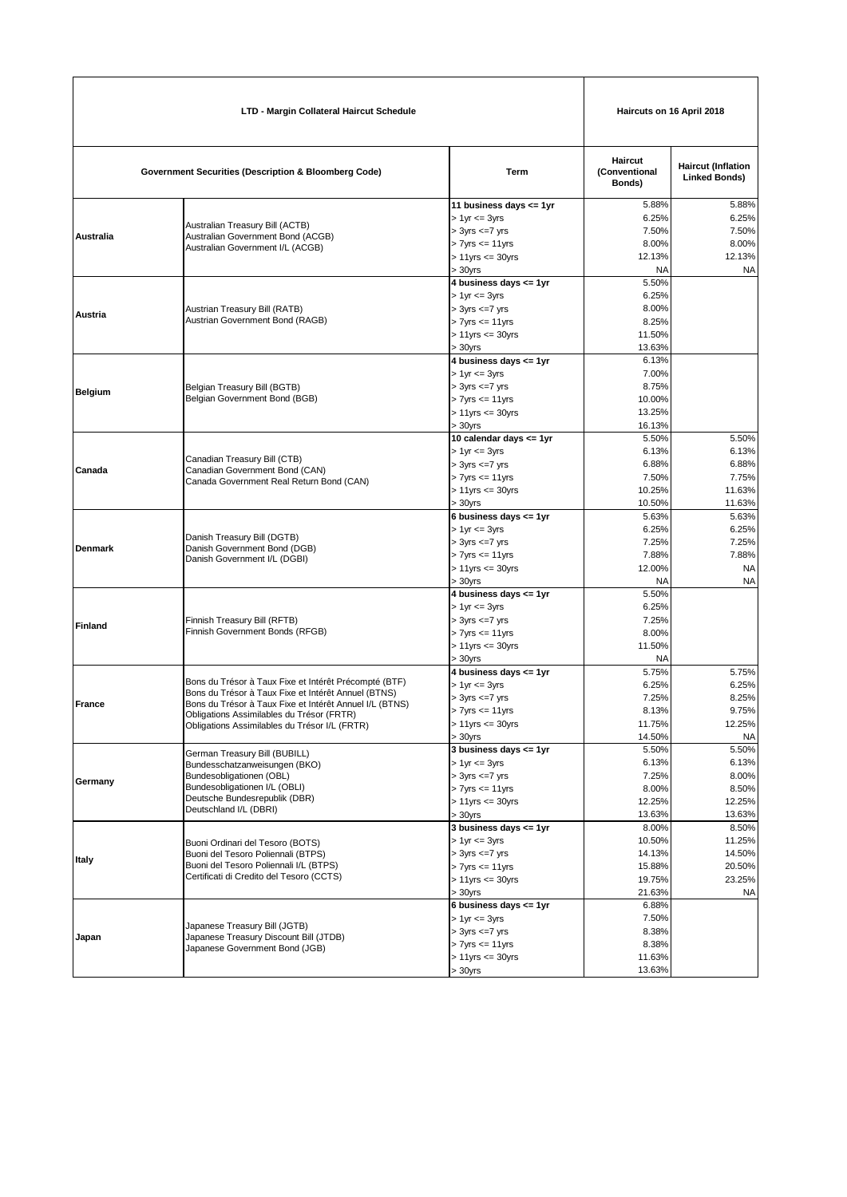| LTD - Margin Collateral Haircut Schedule |                                                                                                                                                                                                                                                                       |                                                                                                                                                 | Haircuts on 16 April 2018                               |                                                            |
|------------------------------------------|-----------------------------------------------------------------------------------------------------------------------------------------------------------------------------------------------------------------------------------------------------------------------|-------------------------------------------------------------------------------------------------------------------------------------------------|---------------------------------------------------------|------------------------------------------------------------|
|                                          | <b>Government Securities (Description &amp; Bloomberg Code)</b>                                                                                                                                                                                                       |                                                                                                                                                 | Haircut<br>(Conventional<br>Bonds)                      | <b>Haircut (Inflation</b><br><b>Linked Bonds)</b>          |
| <b>Australia</b>                         | Australian Treasury Bill (ACTB)<br>Australian Government Bond (ACGB)<br>Australian Government I/L (ACGB)                                                                                                                                                              | 11 business days $\leq$ 1yr<br>$> 1$ yr $= 3$ yrs<br>$> 3yrs \leq -7yrs$<br>$> 7$ yrs $\leq 11$ yrs<br>$> 11$ yrs $\leq 30$ yrs<br>$>30$ yrs    | 5.88%<br>6.25%<br>7.50%<br>8.00%<br>12.13%<br>NA        | 5.88%<br>6.25%<br>7.50%<br>8.00%<br>12.13%<br><b>NA</b>    |
| Austria                                  | Austrian Treasury Bill (RATB)<br>Austrian Government Bond (RAGB)                                                                                                                                                                                                      | 4 business days <= 1yr<br>$> 1$ yr $= 3$ yrs<br>$> 3yrs \leq -7yrs$<br>$> 7$ yrs $\le$ 11yrs<br>$> 11$ yrs $<= 30$ yrs<br>$>30$ yrs             | 5.50%<br>6.25%<br>8.00%<br>8.25%<br>11.50%<br>13.63%    |                                                            |
| <b>Belgium</b>                           | Belgian Treasury Bill (BGTB)<br>Belgian Government Bond (BGB)                                                                                                                                                                                                         | 4 business days <= 1yr<br>$> 1$ yr $= 3$ yrs<br>$> 3yrs \leq -7yrs$<br>$> 7$ yrs $\leq 11$ yrs<br>$> 11$ yrs $<= 30$ yrs<br>$> 30$ yrs          | 6.13%<br>7.00%<br>8.75%<br>10.00%<br>13.25%<br>16.13%   |                                                            |
| Canada                                   | Canadian Treasury Bill (CTB)<br>Canadian Government Bond (CAN)<br>Canada Government Real Return Bond (CAN)                                                                                                                                                            | 10 calendar days <= 1yr<br>$> 1$ yr $= 3$ yrs<br>$> 3yrs \leq -7yrs$<br>$> 7$ yrs $\leq 11$ yrs<br>$> 11$ yrs $\leq 30$ yrs<br>$>30$ yrs        | 5.50%<br>6.13%<br>6.88%<br>7.50%<br>10.25%<br>10.50%    | 5.50%<br>6.13%<br>6.88%<br>7.75%<br>11.63%<br>11.63%       |
| <b>Denmark</b>                           | Danish Treasury Bill (DGTB)<br>Danish Government Bond (DGB)<br>Danish Government I/L (DGBI)                                                                                                                                                                           | 6 business days $\leq$ 1yr<br>$> 1$ yr $= 3$ yrs<br>$> 3yrs \leq -7yrs$<br>$> 7$ yrs $\leq 11$ yrs<br>$> 11$ yrs $\leq 30$ yrs<br>$> 30$ yrs    | 5.63%<br>6.25%<br>7.25%<br>7.88%<br>12.00%<br><b>NA</b> | 5.63%<br>6.25%<br>7.25%<br>7.88%<br><b>NA</b><br><b>NA</b> |
| Finland                                  | Finnish Treasury Bill (RFTB)<br>Finnish Government Bonds (RFGB)                                                                                                                                                                                                       | 4 business days <= 1yr<br>$> 1$ yr $= 3$ yrs<br>$>$ 3yrs $\leq$ 7 yrs<br>$> 7$ yrs $\leq 11$ yrs<br>$> 11$ yrs $\leq 30$ yrs<br>$> 30$ yrs      | 5.50%<br>6.25%<br>7.25%<br>8.00%<br>11.50%<br>NA        |                                                            |
| <b>France</b>                            | Bons du Trésor à Taux Fixe et Intérêt Précompté (BTF)<br>Bons du Trésor à Taux Fixe et Intérêt Annuel (BTNS)<br>Bons du Trésor à Taux Fixe et Intérêt Annuel I/L (BTNS)<br>Obligations Assimilables du Trésor (FRTR)<br>Obligations Assimilables du Trésor I/L (FRTR) | 4 business days <= 1yr<br>$> 1$ yr $= 3$ yrs<br>$> 3yrs \leq -7yrs$<br>$> 7$ yrs $\leq 11$ yrs<br>$> 11$ yrs $\leq 30$ yrs<br>$> 30$ yrs        | 5.75%<br>6.25%<br>7.25%<br>8.13%<br>11.75%<br>14.50%    | 5.75%<br>6.25%<br>8.25%<br>9.75%<br>12.25%<br><b>NA</b>    |
| Germany                                  | German Treasury Bill (BUBILL)<br>Bundesschatzanweisungen (BKO)<br>Bundesobligationen (OBL)<br>Bundesobligationen I/L (OBLI)<br>Deutsche Bundesrepublik (DBR)<br>Deutschland I/L (DBRI)                                                                                | 3 business days $\leq$ 1yr<br>$> 1$ yr $= 3$ yrs<br>$>$ 3yrs $\leq$ 7 yrs<br>$> 7$ yrs $\leq 11$ yrs<br>$> 11$ yrs $\leq 30$ yrs<br>$>30$ yrs   | 5.50%<br>6.13%<br>7.25%<br>8.00%<br>12.25%<br>13.63%    | 5.50%<br>6.13%<br>8.00%<br>8.50%<br>12.25%<br>13.63%       |
| Italy                                    | Buoni Ordinari del Tesoro (BOTS)<br>Buoni del Tesoro Poliennali (BTPS)<br>Buoni del Tesoro Poliennali I/L (BTPS)<br>Certificati di Credito del Tesoro (CCTS)                                                                                                          | 3 business days $\leq$ 1yr<br>$> 1$ yr $= 3$ yrs<br>$> 3$ yrs $\leq$ =7 yrs<br>$> 7$ yrs $\leq 11$ yrs<br>$> 11$ yrs $\leq 30$ yrs<br>$>30$ yrs | 8.00%<br>10.50%<br>14.13%<br>15.88%<br>19.75%<br>21.63% | 8.50%<br>11.25%<br>14.50%<br>20.50%<br>23.25%<br>ΝA        |
| Japan                                    | Japanese Treasury Bill (JGTB)<br>Japanese Treasury Discount Bill (JTDB)<br>Japanese Government Bond (JGB)                                                                                                                                                             | 6 business days $\leq$ 1yr<br>$> 1$ yr $= 3$ yrs<br>$> 3yrs \leq -7yrs$<br>$> 7$ yrs $\leq 11$ yrs<br>$> 11$ yrs $<= 30$ yrs<br>> 30yrs         | 6.88%<br>7.50%<br>8.38%<br>8.38%<br>11.63%<br>13.63%    |                                                            |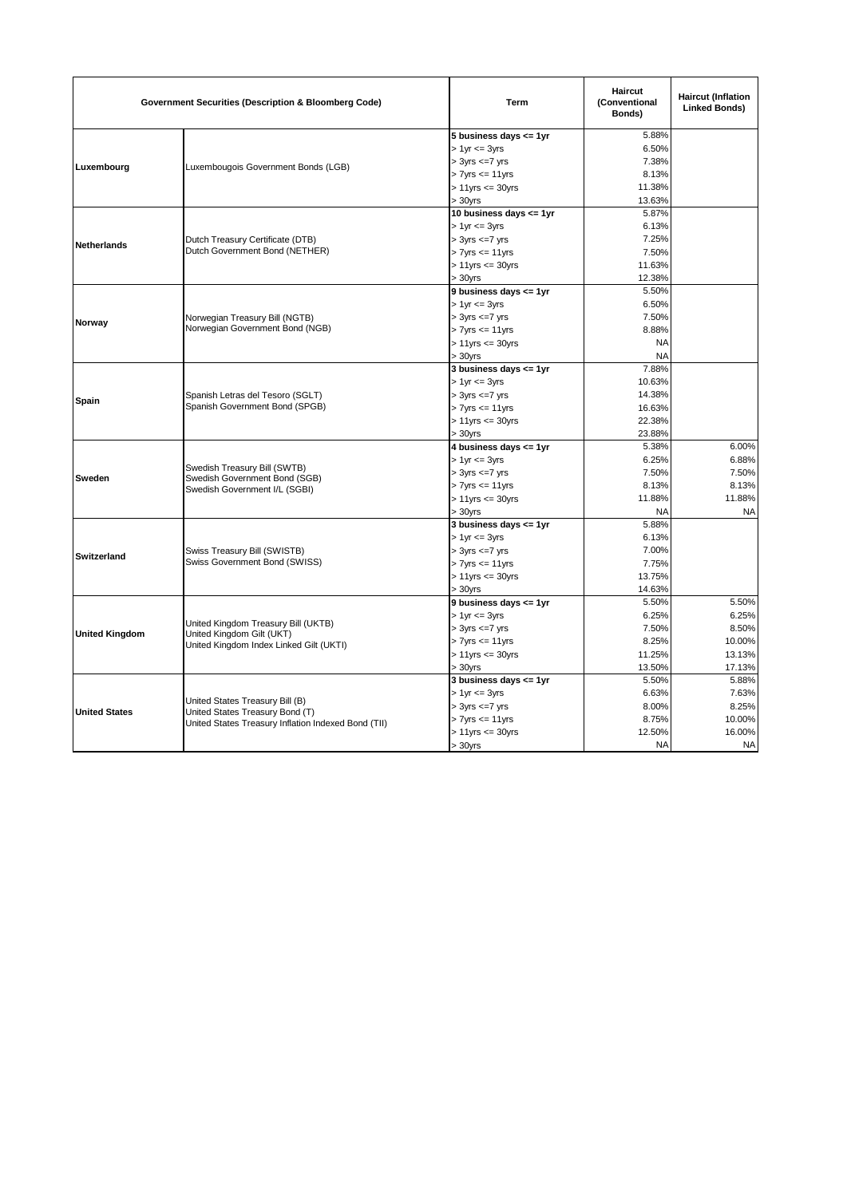| <b>Government Securities (Description &amp; Bloomberg Code)</b> |                                                                                                                           | Term                        | Haircut<br>(Conventional<br>Bonds) | <b>Haircut (Inflation</b><br><b>Linked Bonds)</b> |
|-----------------------------------------------------------------|---------------------------------------------------------------------------------------------------------------------------|-----------------------------|------------------------------------|---------------------------------------------------|
|                                                                 |                                                                                                                           | 5 business days <= 1yr      | 5.88%                              |                                                   |
|                                                                 |                                                                                                                           | $> 1$ yr $<= 3$ yrs         | 6.50%                              |                                                   |
| Luxembourg                                                      | Luxembougois Government Bonds (LGB)                                                                                       | $> 3yrs \leq 7yrs$          | 7.38%                              |                                                   |
|                                                                 |                                                                                                                           | $> 7$ yrs $<= 11$ yrs       | 8.13%                              |                                                   |
|                                                                 |                                                                                                                           | $> 11$ yrs $<= 30$ yrs      | 11.38%                             |                                                   |
|                                                                 |                                                                                                                           | $> 30$ yrs                  | 13.63%                             |                                                   |
|                                                                 |                                                                                                                           | 10 business days $\leq$ 1yr | 5.87%                              |                                                   |
|                                                                 |                                                                                                                           | $> 1$ yr $<= 3$ yrs         | 6.13%                              |                                                   |
| Netherlands                                                     | Dutch Treasury Certificate (DTB)                                                                                          | $> 3yrs \leq -7yrs$         | 7.25%                              |                                                   |
|                                                                 | Dutch Government Bond (NETHER)                                                                                            | $> 7$ yrs $\leq 11$ yrs     | 7.50%                              |                                                   |
|                                                                 |                                                                                                                           | $> 11$ yrs $<= 30$ yrs      | 11.63%                             |                                                   |
|                                                                 |                                                                                                                           | $> 30$ yrs                  | 12.38%                             |                                                   |
|                                                                 |                                                                                                                           | 9 business days <= 1yr      | 5.50%                              |                                                   |
|                                                                 |                                                                                                                           | $> 1$ yr $\leq$ 3yrs        | 6.50%                              |                                                   |
|                                                                 | Norwegian Treasury Bill (NGTB)                                                                                            | $>$ 3yrs $\leq$ 7 yrs       | 7.50%                              |                                                   |
| Norway                                                          | Norwegian Government Bond (NGB)                                                                                           | $> 7$ yrs $\leq 11$ yrs     | 8.88%                              |                                                   |
|                                                                 |                                                                                                                           | $> 11$ yrs $\leq 30$ yrs    | <b>NA</b>                          |                                                   |
|                                                                 |                                                                                                                           | $> 30$ yrs                  | <b>NA</b>                          |                                                   |
|                                                                 |                                                                                                                           | 3 business days $\leq$ 1yr  | 7.88%                              |                                                   |
|                                                                 |                                                                                                                           | $> 1$ yr $<= 3$ yrs         | 10.63%                             |                                                   |
|                                                                 | Spanish Letras del Tesoro (SGLT)                                                                                          | $> 3yrs \leq -7yrs$         | 14.38%                             |                                                   |
| Spain                                                           | Spanish Government Bond (SPGB)                                                                                            | $> 7$ yrs $<= 11$ yrs       | 16.63%                             |                                                   |
|                                                                 |                                                                                                                           | $> 11$ yrs $<= 30$ yrs      | 22.38%                             |                                                   |
|                                                                 |                                                                                                                           | $> 30$ yrs                  | 23.88%                             |                                                   |
|                                                                 | Swedish Treasury Bill (SWTB)<br>Swedish Government Bond (SGB)<br>Swedish Government I/L (SGBI)                            | 4 business days <= 1yr      | 5.38%                              | 6.00%                                             |
|                                                                 |                                                                                                                           | $> 1$ yr $<= 3$ yrs         | 6.25%                              | 6.88%                                             |
|                                                                 |                                                                                                                           | $> 3$ yrs $\leq$ =7 yrs     | 7.50%                              | 7.50%                                             |
| Sweden                                                          |                                                                                                                           | $> 7$ yrs $\leq 11$ yrs     | 8.13%                              | 8.13%                                             |
|                                                                 |                                                                                                                           | $> 11$ yrs $<= 30$ yrs      | 11.88%                             | 11.88%                                            |
|                                                                 |                                                                                                                           | $> 30$ yrs                  | <b>NA</b>                          | <b>NA</b>                                         |
|                                                                 |                                                                                                                           | 3 business days $\leq$ 1yr  | 5.88%                              |                                                   |
|                                                                 | Swiss Treasury Bill (SWISTB)<br>Swiss Government Bond (SWISS)                                                             | $> 1$ yr $<= 3$ yrs         | 6.13%                              |                                                   |
|                                                                 |                                                                                                                           | $>$ 3yrs $\leq$ 7 yrs       | 7.00%                              |                                                   |
| <b>Switzerland</b>                                              |                                                                                                                           | $> 7$ yrs $\leq 11$ yrs     | 7.75%                              |                                                   |
|                                                                 |                                                                                                                           | $> 11$ yrs $\leq 30$ yrs    | 13.75%                             |                                                   |
|                                                                 |                                                                                                                           | $> 30$ yrs                  | 14.63%                             |                                                   |
|                                                                 |                                                                                                                           | 9 business days <= 1yr      | 5.50%                              | 5.50%                                             |
|                                                                 |                                                                                                                           | $> 1$ yr $\leq$ 3yrs        | 6.25%                              | 6.25%                                             |
|                                                                 | United Kingdom Treasury Bill (UKTB)                                                                                       | $> 3yrs \leq -7yrs$         | 7.50%                              | 8.50%                                             |
| <b>United Kingdom</b>                                           | United Kingdom Gilt (UKT)<br>United Kingdom Index Linked Gilt (UKTI)                                                      | $> 7$ yrs $<= 11$ yrs       | 8.25%                              | 10.00%                                            |
|                                                                 |                                                                                                                           | $> 11$ yrs $<= 30$ yrs      | 11.25%                             | 13.13%                                            |
|                                                                 |                                                                                                                           | $>30$ yrs                   | 13.50%                             | 17.13%                                            |
|                                                                 |                                                                                                                           | 3 business days <= 1yr      | 5.50%                              | 5.88%                                             |
|                                                                 | United States Treasury Bill (B)<br>United States Treasury Bond (T)<br>United States Treasury Inflation Indexed Bond (TII) | $> 1$ yr $<= 3$ yrs         | 6.63%                              | 7.63%                                             |
| <b>United States</b>                                            |                                                                                                                           | $> 3yrs \leq -7yrs$         | 8.00%                              | 8.25%                                             |
|                                                                 |                                                                                                                           | $> 7$ yrs $<= 11$ yrs       | 8.75%                              | 10.00%                                            |
|                                                                 |                                                                                                                           | $> 11$ yrs $<= 30$ yrs      | 12.50%                             | 16.00%                                            |
|                                                                 |                                                                                                                           | $> 30$ yrs                  | <b>NA</b>                          | <b>NA</b>                                         |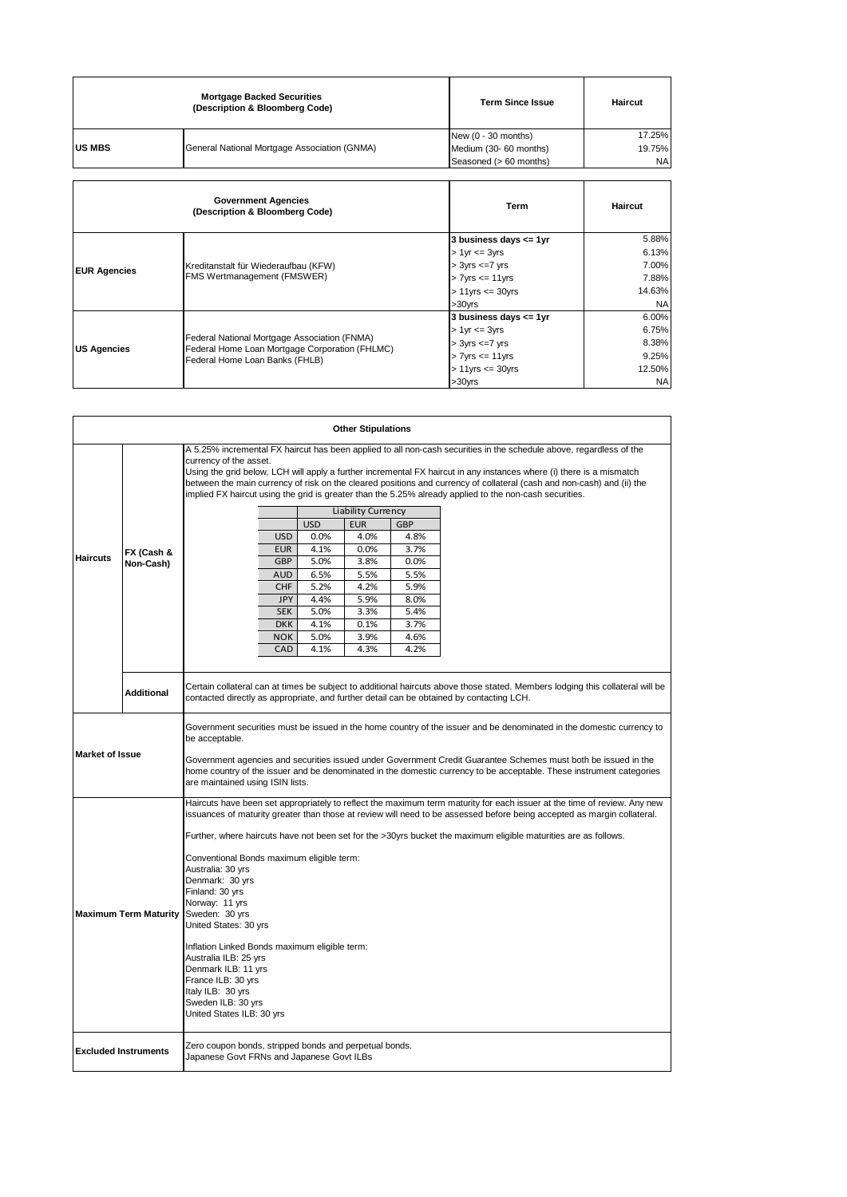|               | <b>Mortgage Backed Securities</b><br>(Description & Bloomberg Code) | <b>Term Since Issue</b> | <b>Haircut</b> |
|---------------|---------------------------------------------------------------------|-------------------------|----------------|
|               |                                                                     | New $(0 - 30$ months)   | 17.25%         |
| <b>US MBS</b> | General National Mortgage Association (GNMA)                        | Medium (30- 60 months)  | 19.75%         |
|               |                                                                     | Seasoned (> 60 months)  | <b>NA</b>      |

 $\overline{\phantom{0}}$ 

|                     | <b>Government Agencies</b><br>(Description & Bloomberg Code)                                                                     | <b>Term</b>              | Haircut   |
|---------------------|----------------------------------------------------------------------------------------------------------------------------------|--------------------------|-----------|
| <b>EUR Agencies</b> | Kreditanstalt für Wiederaufbau (KFW)<br><b>FMS Wertmanagement (FMSWER)</b>                                                       | 3 business days <= 1yr   | 5.88%     |
|                     |                                                                                                                                  | $> 1$ yr $\leq$ 3yrs     | 6.13%     |
|                     |                                                                                                                                  | $> 3yrs \leq -7yrs$      | 7.00%     |
|                     |                                                                                                                                  | $> 7$ yrs $\leq 11$ yrs  | 7.88%     |
|                     |                                                                                                                                  | $> 11$ yrs $\leq 30$ yrs | 14.63%    |
|                     |                                                                                                                                  | $>30$ vrs                | <b>NA</b> |
|                     | Federal National Mortgage Association (FNMA)<br>Federal Home Loan Mortgage Corporation (FHLMC)<br>Federal Home Loan Banks (FHLB) | 3 business days <= 1yr   | 6.00%     |
| <b>US Agencies</b>  |                                                                                                                                  | $> 1$ yr $\leq$ 3yrs     | 6.75%     |
|                     |                                                                                                                                  | $> 3yrs \leq -7yrs$      | 8.38%     |
|                     |                                                                                                                                  | $> 7$ yrs $\leq 11$ yrs  | 9.25%     |
|                     |                                                                                                                                  | $> 11$ yrs $\leq 30$ yrs | 12.50%    |
|                     |                                                                                                                                  | $>30$ vrs                | <b>NA</b> |

| <b>Other Stipulations</b>    |                   |                                                                                                                                                                                                                                                                                                                                                                                                                                                                                                            |  |  |  |
|------------------------------|-------------------|------------------------------------------------------------------------------------------------------------------------------------------------------------------------------------------------------------------------------------------------------------------------------------------------------------------------------------------------------------------------------------------------------------------------------------------------------------------------------------------------------------|--|--|--|
|                              |                   | A 5.25% incremental FX haircut has been applied to all non-cash securities in the schedule above, regardless of the<br>currency of the asset.<br>Using the grid below, LCH will apply a further incremental FX haircut in any instances where (i) there is a mismatch<br>between the main currency of risk on the cleared positions and currency of collateral (cash and non-cash) and (ii) the<br>implied FX haircut using the grid is greater than the 5.25% already applied to the non-cash securities. |  |  |  |
|                              |                   | Liability Currency                                                                                                                                                                                                                                                                                                                                                                                                                                                                                         |  |  |  |
|                              |                   | <b>USD</b><br><b>EUR</b><br><b>GBP</b>                                                                                                                                                                                                                                                                                                                                                                                                                                                                     |  |  |  |
|                              |                   | 4.0%<br><b>USD</b><br>0.0%<br>4.8%                                                                                                                                                                                                                                                                                                                                                                                                                                                                         |  |  |  |
|                              | FX (Cash &        | <b>EUR</b><br>4.1%<br>0.0%<br>3.7%                                                                                                                                                                                                                                                                                                                                                                                                                                                                         |  |  |  |
| <b>Haircuts</b>              | Non-Cash)         | <b>GBP</b><br>5.0%<br>3.8%<br>0.0%                                                                                                                                                                                                                                                                                                                                                                                                                                                                         |  |  |  |
|                              |                   | 6.5%<br><b>AUD</b><br>5.5%<br>5.5%                                                                                                                                                                                                                                                                                                                                                                                                                                                                         |  |  |  |
|                              |                   | <b>CHF</b><br>5.2%<br>4.2%<br>5.9%                                                                                                                                                                                                                                                                                                                                                                                                                                                                         |  |  |  |
|                              |                   | <b>JPY</b><br>4.4%<br>5.9%<br>8.0%                                                                                                                                                                                                                                                                                                                                                                                                                                                                         |  |  |  |
|                              |                   | <b>SEK</b><br>5.0%<br>3.3%<br>5.4%                                                                                                                                                                                                                                                                                                                                                                                                                                                                         |  |  |  |
|                              |                   | <b>DKK</b><br>4.1%<br>0.1%<br>3.7%                                                                                                                                                                                                                                                                                                                                                                                                                                                                         |  |  |  |
|                              |                   | 5.0%<br><b>NOK</b><br>3.9%<br>4.6%                                                                                                                                                                                                                                                                                                                                                                                                                                                                         |  |  |  |
|                              |                   | CAD<br>4.1%<br>4.3%<br>4.2%                                                                                                                                                                                                                                                                                                                                                                                                                                                                                |  |  |  |
|                              |                   |                                                                                                                                                                                                                                                                                                                                                                                                                                                                                                            |  |  |  |
|                              | <b>Additional</b> | Certain collateral can at times be subject to additional haircuts above those stated. Members lodging this collateral will be<br>contacted directly as appropriate, and further detail can be obtained by contacting LCH.                                                                                                                                                                                                                                                                                  |  |  |  |
|                              |                   | Government securities must be issued in the home country of the issuer and be denominated in the domestic currency to<br>be acceptable.                                                                                                                                                                                                                                                                                                                                                                    |  |  |  |
| <b>Market of Issue</b>       |                   | Government agencies and securities issued under Government Credit Guarantee Schemes must both be issued in the<br>home country of the issuer and be denominated in the domestic currency to be acceptable. These instrument categories<br>are maintained using ISIN lists.                                                                                                                                                                                                                                 |  |  |  |
| <b>Maximum Term Maturity</b> |                   | Haircuts have been set appropriately to reflect the maximum term maturity for each issuer at the time of review. Any new<br>issuances of maturity greater than those at review will need to be assessed before being accepted as margin collateral.                                                                                                                                                                                                                                                        |  |  |  |
|                              |                   | Further, where haircuts have not been set for the >30yrs bucket the maximum eligible maturities are as follows.                                                                                                                                                                                                                                                                                                                                                                                            |  |  |  |
|                              |                   | Conventional Bonds maximum eligible term:<br>Australia: 30 yrs<br>Denmark: 30 yrs<br>Finland: 30 yrs<br>Norway: 11 yrs<br>Sweden: 30 yrs<br>United States: 30 yrs                                                                                                                                                                                                                                                                                                                                          |  |  |  |
|                              |                   | Inflation Linked Bonds maximum eligible term:<br>Australia ILB: 25 yrs<br>Denmark ILB: 11 yrs<br>France ILB: 30 yrs<br>Italy ILB: 30 yrs<br>Sweden ILB: 30 yrs<br>United States ILB: 30 yrs                                                                                                                                                                                                                                                                                                                |  |  |  |
| <b>Excluded Instruments</b>  |                   | Zero coupon bonds, stripped bonds and perpetual bonds.<br>Japanese Govt FRNs and Japanese Govt ILBs                                                                                                                                                                                                                                                                                                                                                                                                        |  |  |  |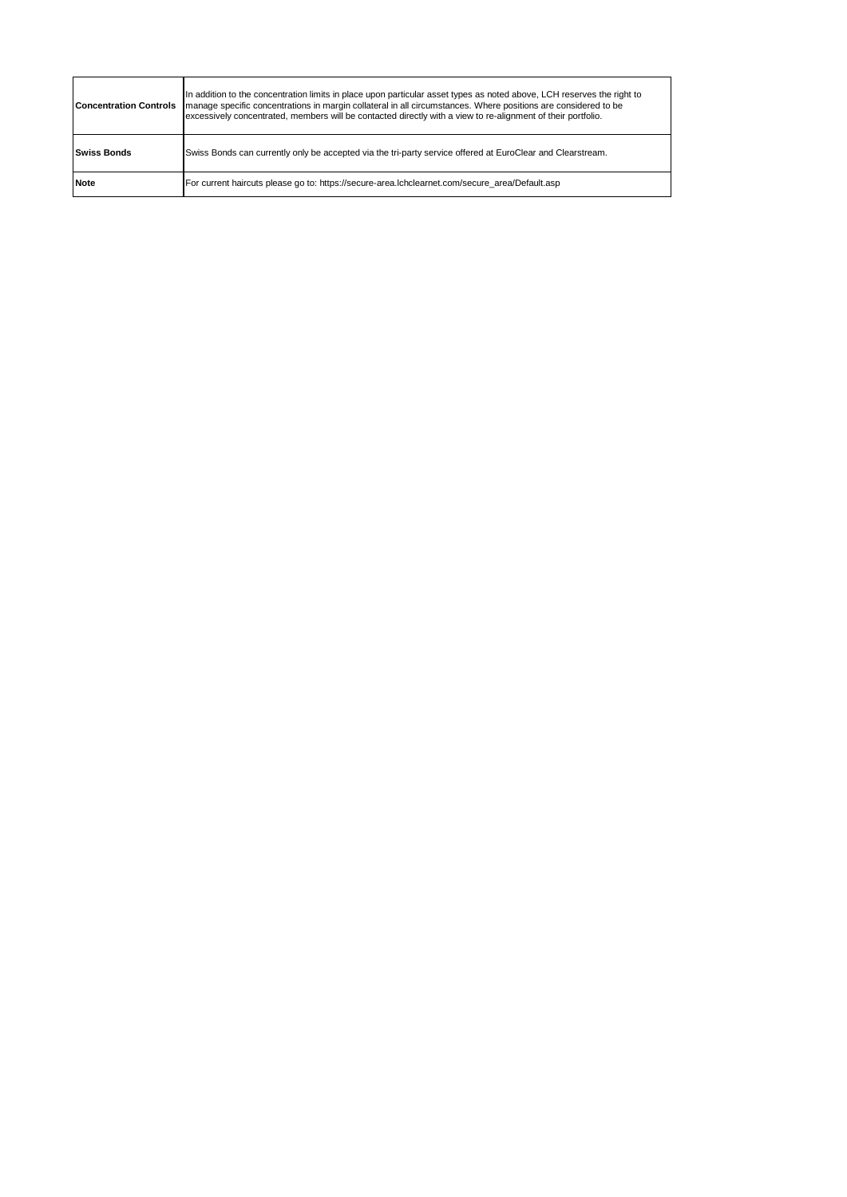| <b>Concentration Controls</b>                                                                                 | In addition to the concentration limits in place upon particular asset types as noted above, LCH reserves the right to<br>manage specific concentrations in margin collateral in all circumstances. Where positions are considered to be<br>excessively concentrated, members will be contacted directly with a view to re-alignment of their portfolio. |
|---------------------------------------------------------------------------------------------------------------|----------------------------------------------------------------------------------------------------------------------------------------------------------------------------------------------------------------------------------------------------------------------------------------------------------------------------------------------------------|
| <b>Swiss Bonds</b>                                                                                            | Swiss Bonds can currently only be accepted via the tri-party service offered at EuroClear and Clearstream.                                                                                                                                                                                                                                               |
| <b>Note</b><br>For current haircuts please go to: https://secure-area.lchclearnet.com/secure area/Default.asp |                                                                                                                                                                                                                                                                                                                                                          |